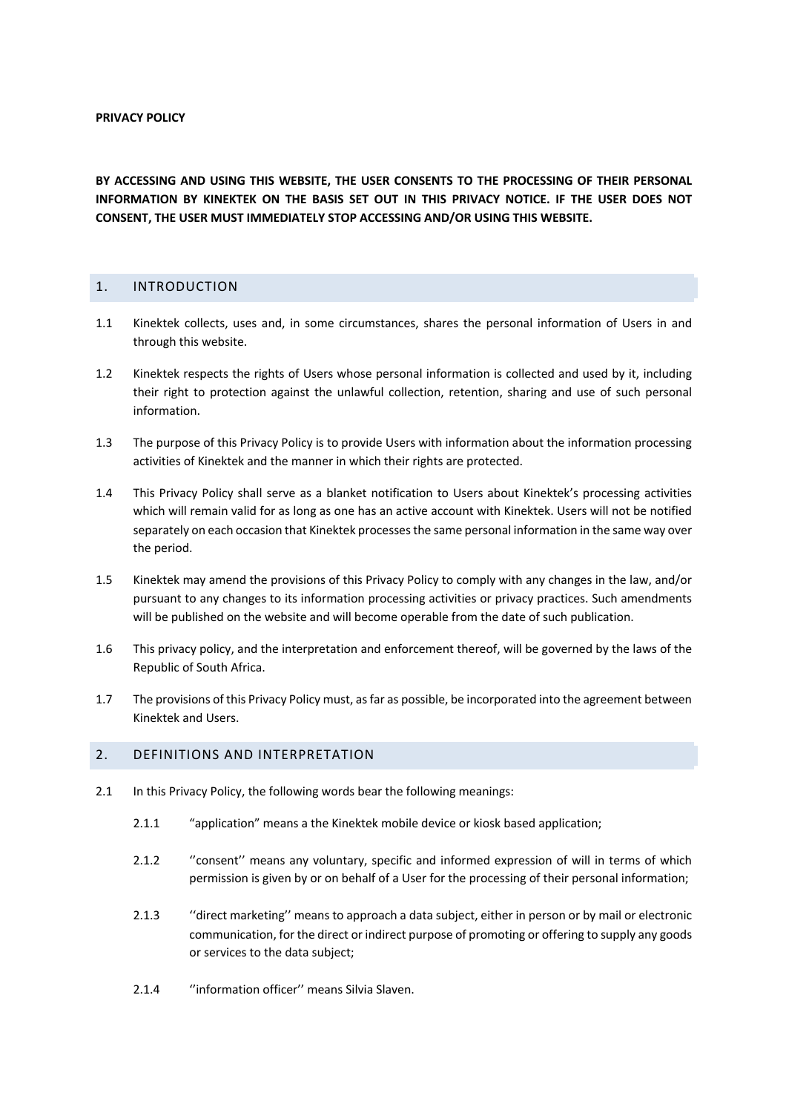**BY ACCESSING AND USING THIS WEBSITE, THE USER CONSENTS TO THE PROCESSING OF THEIR PERSONAL INFORMATION BY KINEKTEK ON THE BASIS SET OUT IN THIS PRIVACY NOTICE. IF THE USER DOES NOT CONSENT, THE USER MUST IMMEDIATELY STOP ACCESSING AND/OR USING THIS WEBSITE.**

## 1. INTRODUCTION

- 1.1 Kinektek collects, uses and, in some circumstances, shares the personal information of Users in and through this website.
- 1.2 Kinektek respects the rights of Users whose personal information is collected and used by it, including their right to protection against the unlawful collection, retention, sharing and use of such personal information.
- 1.3 The purpose of this Privacy Policy is to provide Users with information about the information processing activities of Kinektek and the manner in which their rights are protected.
- 1.4 This Privacy Policy shall serve as a blanket notification to Users about Kinektek's processing activities which will remain valid for as long as one has an active account with Kinektek. Users will not be notified separately on each occasion that Kinektek processes the same personal information in the same way over the period.
- 1.5 Kinektek may amend the provisions of this Privacy Policy to comply with any changes in the law, and/or pursuant to any changes to its information processing activities or privacy practices. Such amendments will be published on the website and will become operable from the date of such publication.
- 1.6 This privacy policy, and the interpretation and enforcement thereof, will be governed by the laws of the Republic of South Africa.
- 1.7 The provisions of this Privacy Policy must, as far as possible, be incorporated into the agreement between Kinektek and Users.

## 2. DEFINITIONS AND INTERPRETATION

- 2.1 In this Privacy Policy, the following words bear the following meanings:
	- 2.1.1 "application" means a the Kinektek mobile device or kiosk based application;
	- 2.1.2 ''consent'' means any voluntary, specific and informed expression of will in terms of which permission is given by or on behalf of a User for the processing of their personal information;
	- 2.1.3 ''direct marketing'' means to approach a data subject, either in person or by mail or electronic communication, for the direct or indirect purpose of promoting or offering to supply any goods or services to the data subject;
	- 2.1.4 ''information officer'' means Silvia Slaven.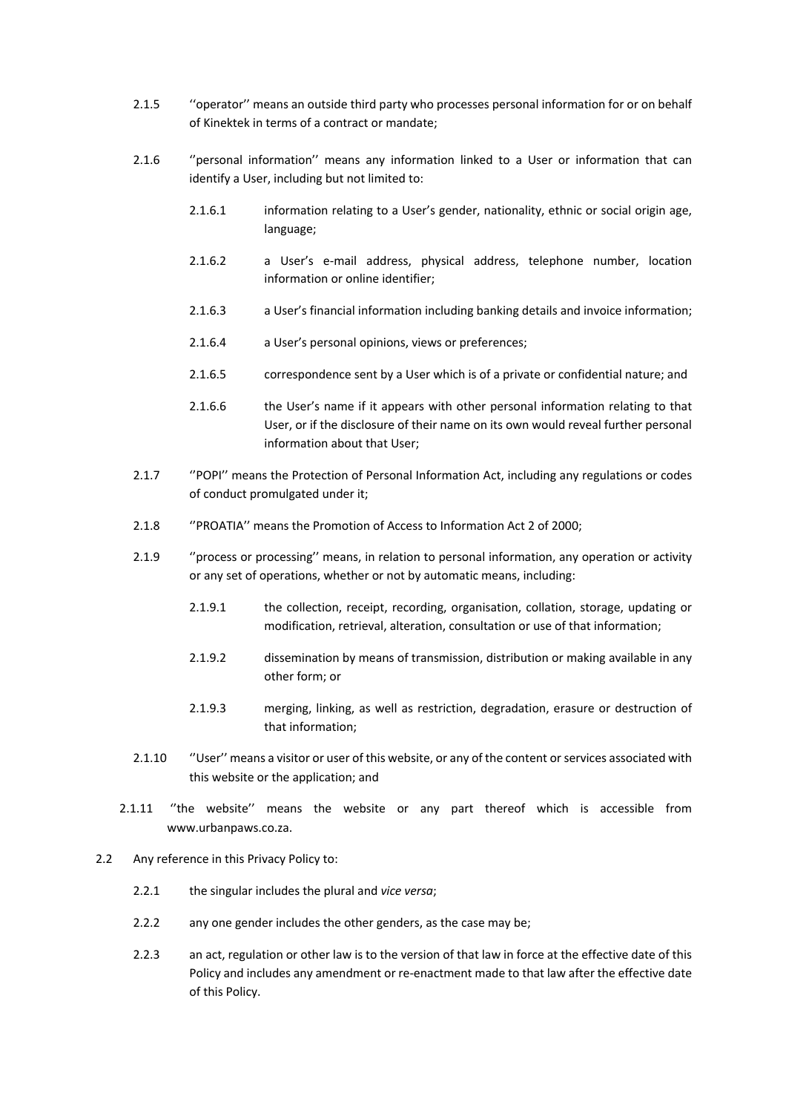- 2.1.5 ''operator'' means an outside third party who processes personal information for or on behalf of Kinektek in terms of a contract or mandate;
- 2.1.6 ''personal information'' means any information linked to a User or information that can identify a User, including but not limited to:
	- 2.1.6.1 information relating to a User's gender, nationality, ethnic or social origin age, language;
	- 2.1.6.2 a User's e-mail address, physical address, telephone number, location information or online identifier;
	- 2.1.6.3 a User's financial information including banking details and invoice information;
	- 2.1.6.4 a User's personal opinions, views or preferences;
	- 2.1.6.5 correspondence sent by a User which is of a private or confidential nature; and
	- 2.1.6.6 the User's name if it appears with other personal information relating to that User, or if the disclosure of their name on its own would reveal further personal information about that User;
- 2.1.7 ''POPI'' means the Protection of Personal Information Act, including any regulations or codes of conduct promulgated under it;
- 2.1.8 ''PROATIA'' means the Promotion of Access to Information Act 2 of 2000;
- 2.1.9 ''process or processing'' means, in relation to personal information, any operation or activity or any set of operations, whether or not by automatic means, including:
	- 2.1.9.1 the collection, receipt, recording, organisation, collation, storage, updating or modification, retrieval, alteration, consultation or use of that information;
	- 2.1.9.2 dissemination by means of transmission, distribution or making available in any other form; or
	- 2.1.9.3 merging, linking, as well as restriction, degradation, erasure or destruction of that information;
- 2.1.10 "User" means a visitor or user of this website, or any of the content or services associated with this website or the application; and
- 2.1.11 ''the website'' means the website or any part thereof which is accessible from www.urbanpaws.co.za.
- 2.2 Any reference in this Privacy Policy to:
	- 2.2.1 the singular includes the plural and *vice versa*;
	- 2.2.2 any one gender includes the other genders, as the case may be;
	- 2.2.3 an act, regulation or other law is to the version of that law in force at the effective date of this Policy and includes any amendment or re-enactment made to that law after the effective date of this Policy.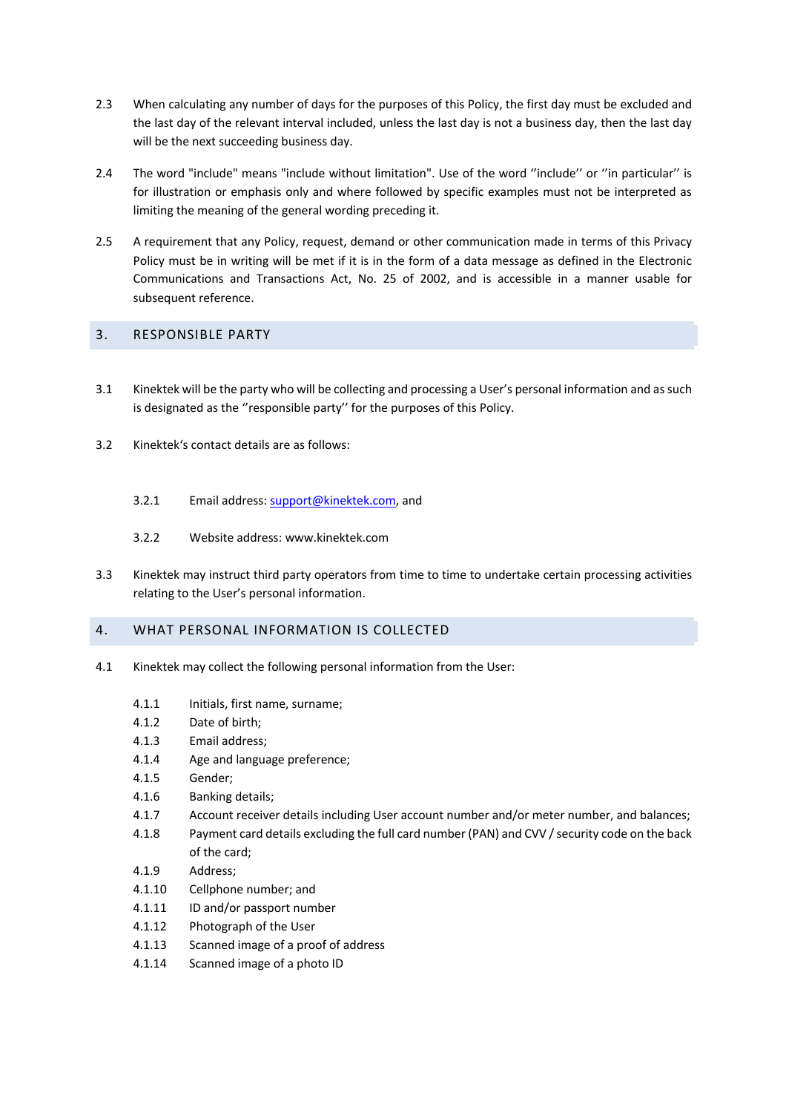- 2.3 When calculating any number of days for the purposes of this Policy, the first day must be excluded and the last day of the relevant interval included, unless the last day is not a business day, then the last day will be the next succeeding business day.
- 2.4 The word "include" means "include without limitation". Use of the word ''include'' or ''in particular'' is for illustration or emphasis only and where followed by specific examples must not be interpreted as limiting the meaning of the general wording preceding it.
- 2.5 A requirement that any Policy, request, demand or other communication made in terms of this Privacy Policy must be in writing will be met if it is in the form of a data message as defined in the Electronic Communications and Transactions Act, No. 25 of 2002, and is accessible in a manner usable for subsequent reference.

## 3. RESPONSIBLE PARTY

- 3.1 Kinektek will be the party who will be collecting and processing a User's personal information and as such is designated as the ''responsible party'' for the purposes of this Policy.
- 3.2 Kinektek's contact details are as follows:
	- 3.2.1 Email address: support@kinektek.com, and
	- 3.2.2 Website address: www.kinektek.com
- 3.3 Kinektek may instruct third party operators from time to time to undertake certain processing activities relating to the User's personal information.

## 4. WHAT PERSONAL INFORMATION IS COLLECTED

- 4.1 Kinektek may collect the following personal information from the User:
	- 4.1.1 Initials, first name, surname;
	- 4.1.2 Date of birth;
	- 4.1.3 Email address;
	- 4.1.4 Age and language preference;
	- 4.1.5 Gender;
	- 4.1.6 Banking details;
	- 4.1.7 Account receiver details including User account number and/or meter number, and balances;
	- 4.1.8 Payment card details excluding the full card number (PAN) and CVV / security code on the back of the card;
	- 4.1.9 Address;
	- 4.1.10 Cellphone number; and
	- 4.1.11 ID and/or passport number
	- 4.1.12 Photograph of the User
	- 4.1.13 Scanned image of a proof of address
	- 4.1.14 Scanned image of a photo ID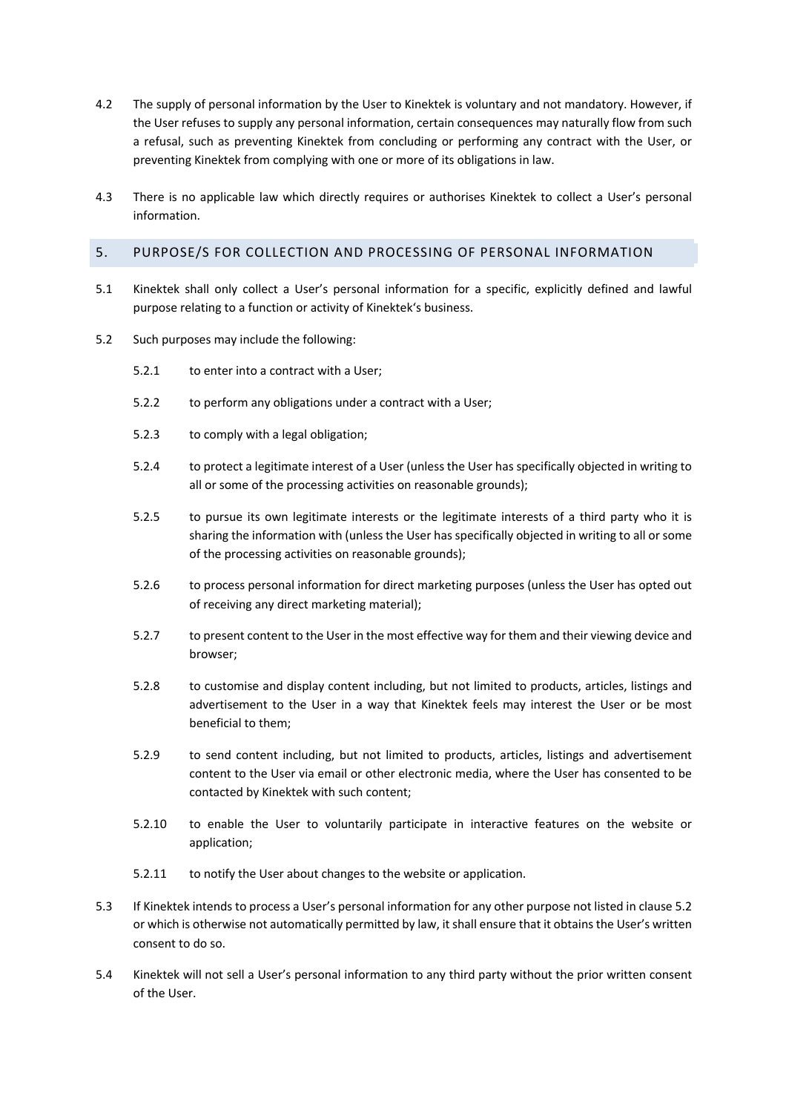- 4.2 The supply of personal information by the User to Kinektek is voluntary and not mandatory. However, if the User refuses to supply any personal information, certain consequences may naturally flow from such a refusal, such as preventing Kinektek from concluding or performing any contract with the User, or preventing Kinektek from complying with one or more of its obligations in law.
- 4.3 There is no applicable law which directly requires or authorises Kinektek to collect a User's personal information.

## 5. PURPOSE/S FOR COLLECTION AND PROCESSING OF PERSONAL INFORMATION

- 5.1 Kinektek shall only collect a User's personal information for a specific, explicitly defined and lawful purpose relating to a function or activity of Kinektek's business.
- 5.2 Such purposes may include the following:
	- 5.2.1 to enter into a contract with a User;
	- 5.2.2 to perform any obligations under a contract with a User;
	- 5.2.3 to comply with a legal obligation;
	- 5.2.4 to protect a legitimate interest of a User (unless the User has specifically objected in writing to all or some of the processing activities on reasonable grounds);
	- 5.2.5 to pursue its own legitimate interests or the legitimate interests of a third party who it is sharing the information with (unless the User has specifically objected in writing to all or some of the processing activities on reasonable grounds);
	- 5.2.6 to process personal information for direct marketing purposes (unless the User has opted out of receiving any direct marketing material);
	- 5.2.7 to present content to the User in the most effective way for them and their viewing device and browser;
	- 5.2.8 to customise and display content including, but not limited to products, articles, listings and advertisement to the User in a way that Kinektek feels may interest the User or be most beneficial to them;
	- 5.2.9 to send content including, but not limited to products, articles, listings and advertisement content to the User via email or other electronic media, where the User has consented to be contacted by Kinektek with such content;
	- 5.2.10 to enable the User to voluntarily participate in interactive features on the website or application;
	- 5.2.11 to notify the User about changes to the website or application.
- 5.3 If Kinektek intends to process a User's personal information for any other purpose not listed in clause 5.2 or which is otherwise not automatically permitted by law, it shall ensure that it obtains the User's written consent to do so.
- 5.4 Kinektek will not sell a User's personal information to any third party without the prior written consent of the User.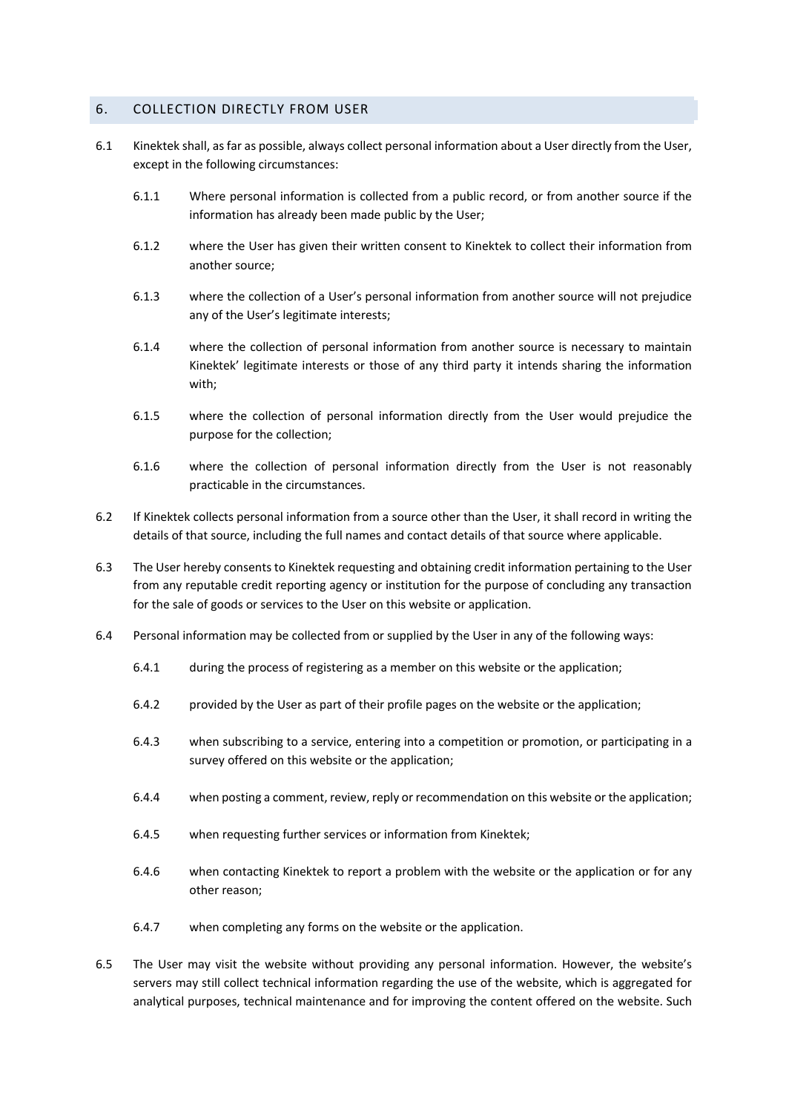### 6. COLLECTION DIRECTLY FROM USER

- 6.1 Kinektek shall, as far as possible, always collect personal information about a User directly from the User, except in the following circumstances:
	- 6.1.1 Where personal information is collected from a public record, or from another source if the information has already been made public by the User;
	- 6.1.2 where the User has given their written consent to Kinektek to collect their information from another source;
	- 6.1.3 where the collection of a User's personal information from another source will not prejudice any of the User's legitimate interests;
	- 6.1.4 where the collection of personal information from another source is necessary to maintain Kinektek' legitimate interests or those of any third party it intends sharing the information with;
	- 6.1.5 where the collection of personal information directly from the User would prejudice the purpose for the collection;
	- 6.1.6 where the collection of personal information directly from the User is not reasonably practicable in the circumstances.
- 6.2 If Kinektek collects personal information from a source other than the User, it shall record in writing the details of that source, including the full names and contact details of that source where applicable.
- 6.3 The User hereby consents to Kinektek requesting and obtaining credit information pertaining to the User from any reputable credit reporting agency or institution for the purpose of concluding any transaction for the sale of goods or services to the User on this website or application.
- 6.4 Personal information may be collected from or supplied by the User in any of the following ways:
	- 6.4.1 during the process of registering as a member on this website or the application;
	- 6.4.2 provided by the User as part of their profile pages on the website or the application;
	- 6.4.3 when subscribing to a service, entering into a competition or promotion, or participating in a survey offered on this website or the application;
	- 6.4.4 when posting a comment, review, reply or recommendation on this website or the application;
	- 6.4.5 when requesting further services or information from Kinektek;
	- 6.4.6 when contacting Kinektek to report a problem with the website or the application or for any other reason;
	- 6.4.7 when completing any forms on the website or the application.
- 6.5 The User may visit the website without providing any personal information. However, the website's servers may still collect technical information regarding the use of the website, which is aggregated for analytical purposes, technical maintenance and for improving the content offered on the website. Such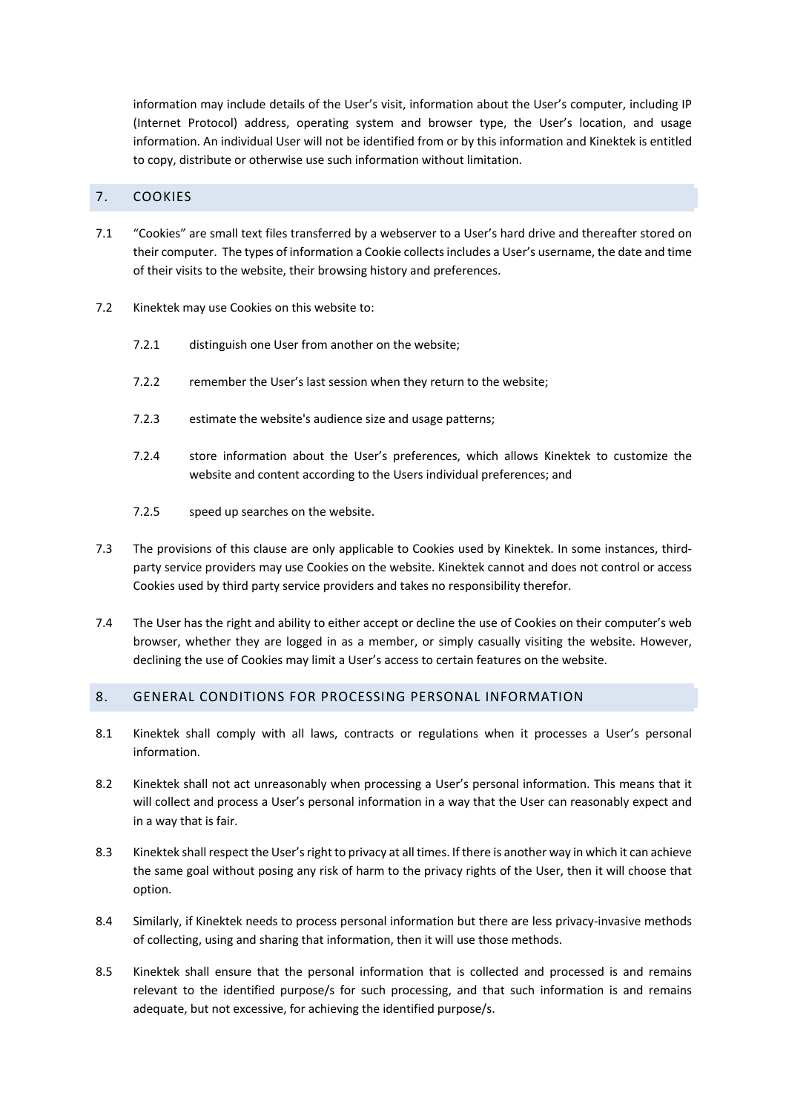information may include details of the User's visit, information about the User's computer, including IP (Internet Protocol) address, operating system and browser type, the User's location, and usage information. An individual User will not be identified from or by this information and Kinektek is entitled to copy, distribute or otherwise use such information without limitation.

## 7. COOKIES

- 7.1 "Cookies" are small text files transferred by a webserver to a User's hard drive and thereafter stored on their computer. The types of information a Cookie collects includes a User's username, the date and time of their visits to the website, their browsing history and preferences.
- 7.2 Kinektek may use Cookies on this website to:
	- 7.2.1 distinguish one User from another on the website;
	- 7.2.2 remember the User's last session when they return to the website;
	- 7.2.3 estimate the website's audience size and usage patterns;
	- 7.2.4 store information about the User's preferences, which allows Kinektek to customize the website and content according to the Users individual preferences; and
	- 7.2.5 speed up searches on the website.
- 7.3 The provisions of this clause are only applicable to Cookies used by Kinektek. In some instances, thirdparty service providers may use Cookies on the website. Kinektek cannot and does not control or access Cookies used by third party service providers and takes no responsibility therefor.
- 7.4 The User has the right and ability to either accept or decline the use of Cookies on their computer's web browser, whether they are logged in as a member, or simply casually visiting the website. However, declining the use of Cookies may limit a User's access to certain features on the website.

#### 8. GENERAL CONDITIONS FOR PROCESSING PERSONAL INFORMATION

- 8.1 Kinektek shall comply with all laws, contracts or regulations when it processes a User's personal information.
- 8.2 Kinektek shall not act unreasonably when processing a User's personal information. This means that it will collect and process a User's personal information in a way that the User can reasonably expect and in a way that is fair.
- 8.3 Kinektek shall respect the User's right to privacy at all times. If there is another way in which it can achieve the same goal without posing any risk of harm to the privacy rights of the User, then it will choose that option.
- 8.4 Similarly, if Kinektek needs to process personal information but there are less privacy-invasive methods of collecting, using and sharing that information, then it will use those methods.
- 8.5 Kinektek shall ensure that the personal information that is collected and processed is and remains relevant to the identified purpose/s for such processing, and that such information is and remains adequate, but not excessive, for achieving the identified purpose/s.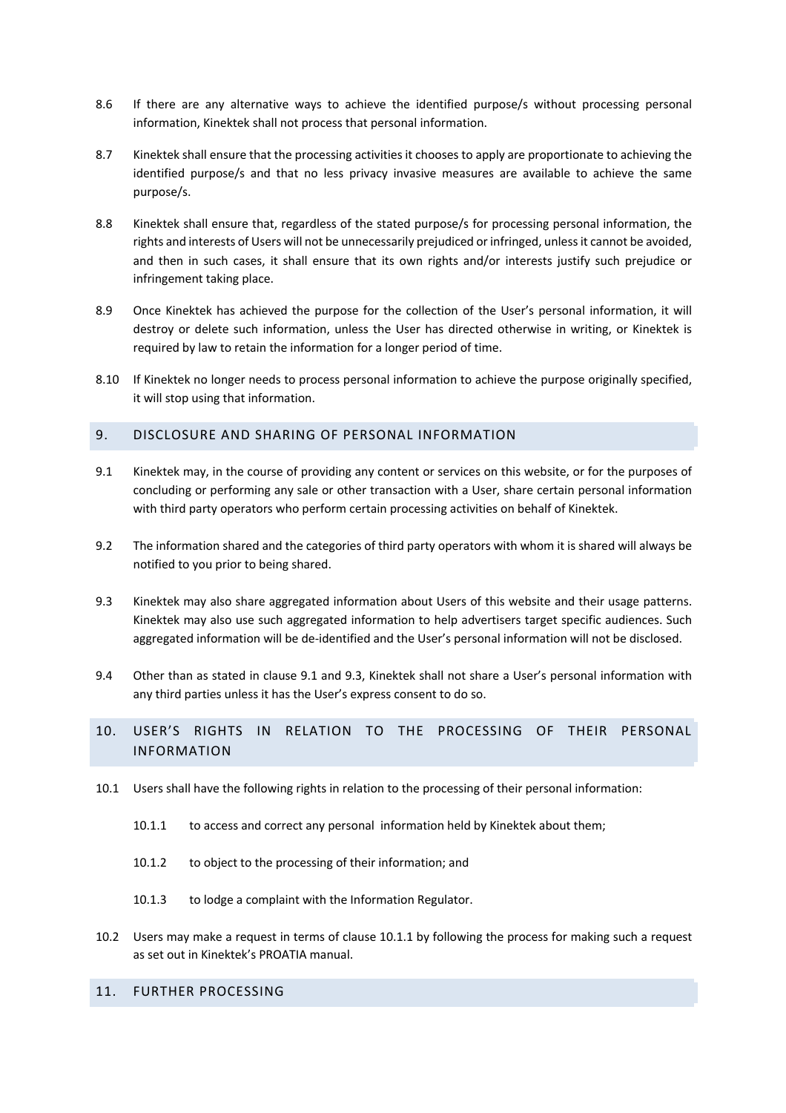- 8.6 If there are any alternative ways to achieve the identified purpose/s without processing personal information, Kinektek shall not process that personal information.
- 8.7 Kinektek shall ensure that the processing activities it chooses to apply are proportionate to achieving the identified purpose/s and that no less privacy invasive measures are available to achieve the same purpose/s.
- 8.8 Kinektek shall ensure that, regardless of the stated purpose/s for processing personal information, the rights and interests of Users will not be unnecessarily prejudiced or infringed, unless it cannot be avoided, and then in such cases, it shall ensure that its own rights and/or interests justify such prejudice or infringement taking place.
- 8.9 Once Kinektek has achieved the purpose for the collection of the User's personal information, it will destroy or delete such information, unless the User has directed otherwise in writing, or Kinektek is required by law to retain the information for a longer period of time.
- 8.10 If Kinektek no longer needs to process personal information to achieve the purpose originally specified, it will stop using that information.

### 9. DISCLOSURE AND SHARING OF PERSONAL INFORMATION

- 9.1 Kinektek may, in the course of providing any content or services on this website, or for the purposes of concluding or performing any sale or other transaction with a User, share certain personal information with third party operators who perform certain processing activities on behalf of Kinektek.
- 9.2 The information shared and the categories of third party operators with whom it is shared will always be notified to you prior to being shared.
- 9.3 Kinektek may also share aggregated information about Users of this website and their usage patterns. Kinektek may also use such aggregated information to help advertisers target specific audiences. Such aggregated information will be de-identified and the User's personal information will not be disclosed.
- 9.4 Other than as stated in clause 9.1 and 9.3, Kinektek shall not share a User's personal information with any third parties unless it has the User's express consent to do so.

# 10. USER'S RIGHTS IN RELATION TO THE PROCESSING OF THEIR PERSONAL INFORMATION

- 10.1 Users shall have the following rights in relation to the processing of their personal information:
	- 10.1.1 to access and correct any personal information held by Kinektek about them;
	- 10.1.2 to object to the processing of their information; and
	- 10.1.3 to lodge a complaint with the Information Regulator.
- 10.2 Users may make a request in terms of clause 10.1.1 by following the process for making such a request as set out in Kinektek's PROATIA manual.

### 11. FURTHER PROCESSING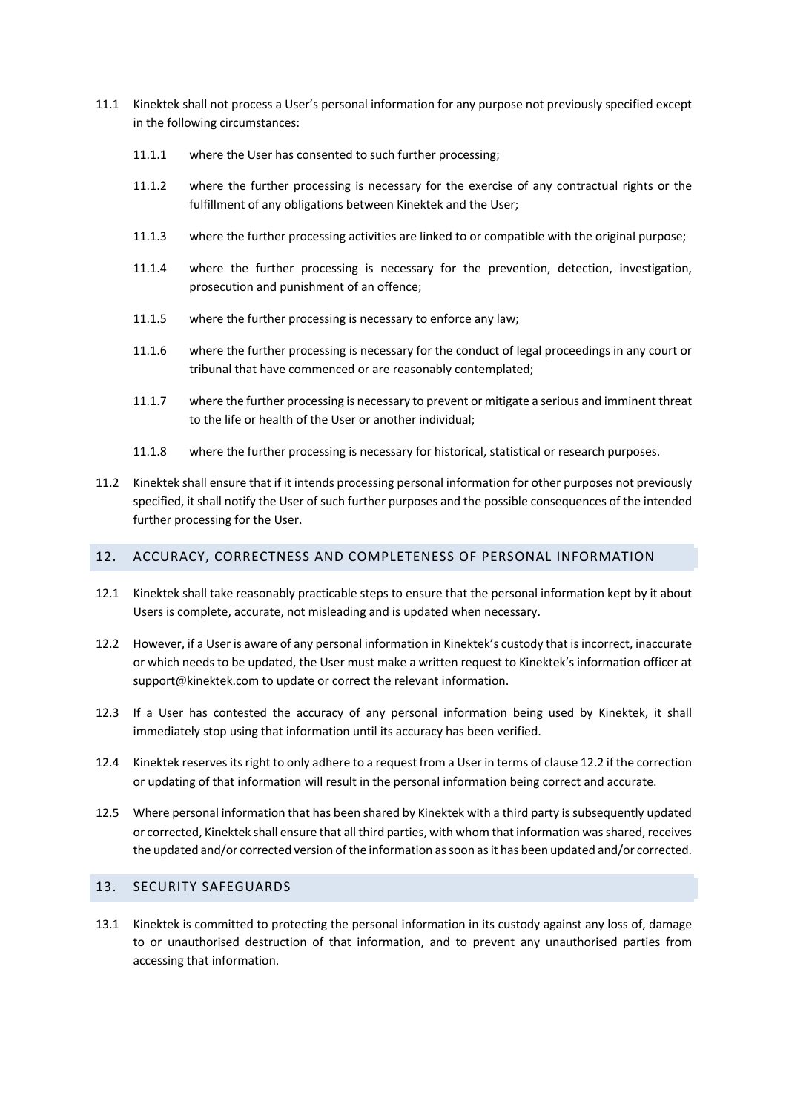- 11.1 Kinektek shall not process a User's personal information for any purpose not previously specified except in the following circumstances:
	- 11.1.1 where the User has consented to such further processing;
	- 11.1.2 where the further processing is necessary for the exercise of any contractual rights or the fulfillment of any obligations between Kinektek and the User;
	- 11.1.3 where the further processing activities are linked to or compatible with the original purpose;
	- 11.1.4 where the further processing is necessary for the prevention, detection, investigation, prosecution and punishment of an offence;
	- 11.1.5 where the further processing is necessary to enforce any law;
	- 11.1.6 where the further processing is necessary for the conduct of legal proceedings in any court or tribunal that have commenced or are reasonably contemplated;
	- 11.1.7 where the further processing is necessary to prevent or mitigate a serious and imminent threat to the life or health of the User or another individual;
	- 11.1.8 where the further processing is necessary for historical, statistical or research purposes.
- 11.2 Kinektek shall ensure that if it intends processing personal information for other purposes not previously specified, it shall notify the User of such further purposes and the possible consequences of the intended further processing for the User.

## 12. ACCURACY, CORRECTNESS AND COMPLETENESS OF PERSONAL INFORMATION

- 12.1 Kinektek shall take reasonably practicable steps to ensure that the personal information kept by it about Users is complete, accurate, not misleading and is updated when necessary.
- 12.2 However, if a User is aware of any personal information in Kinektek's custody that is incorrect, inaccurate or which needs to be updated, the User must make a written request to Kinektek's information officer at support@kinektek.com to update or correct the relevant information.
- 12.3 If a User has contested the accuracy of any personal information being used by Kinektek, it shall immediately stop using that information until its accuracy has been verified.
- 12.4 Kinektek reserves its right to only adhere to a request from a User in terms of clause 12.2 if the correction or updating of that information will result in the personal information being correct and accurate.
- 12.5 Where personal information that has been shared by Kinektek with a third party is subsequently updated or corrected, Kinektek shall ensure that all third parties, with whom that information was shared, receives the updated and/or corrected version of the information as soon as it has been updated and/or corrected.

#### 13. SECURITY SAFEGUARDS

13.1 Kinektek is committed to protecting the personal information in its custody against any loss of, damage to or unauthorised destruction of that information, and to prevent any unauthorised parties from accessing that information.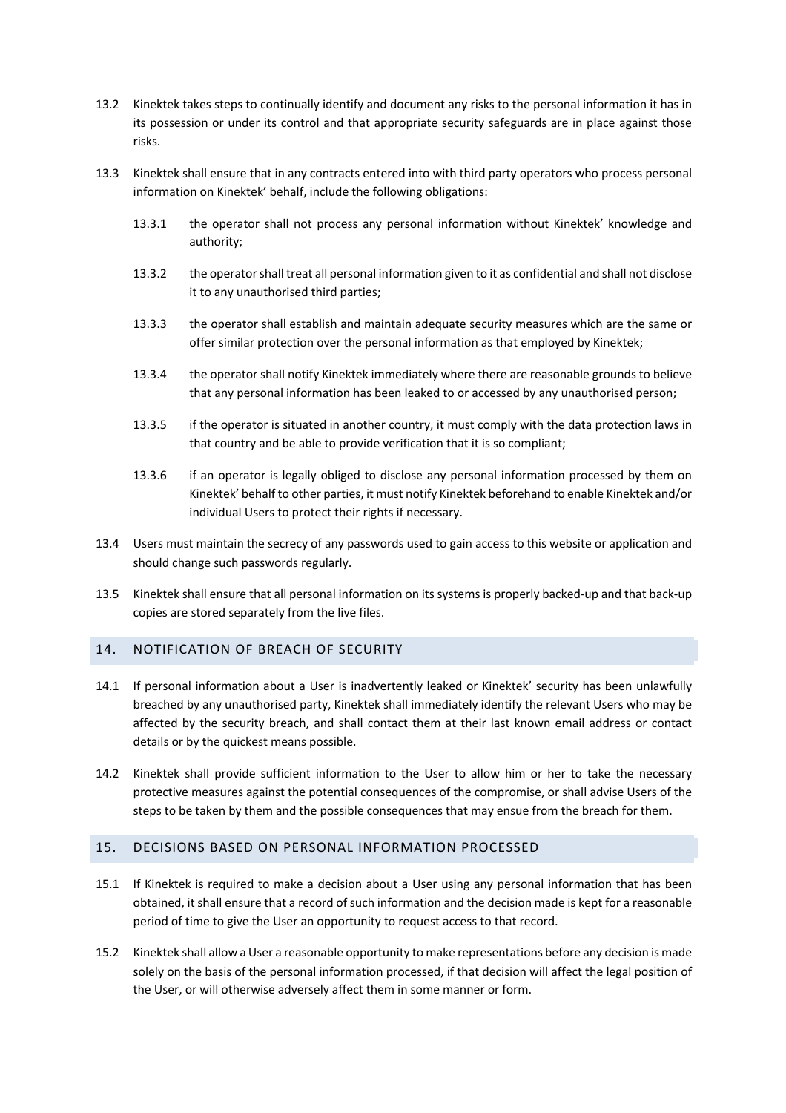- 13.2 Kinektek takes steps to continually identify and document any risks to the personal information it has in its possession or under its control and that appropriate security safeguards are in place against those risks.
- 13.3 Kinektek shall ensure that in any contracts entered into with third party operators who process personal information on Kinektek' behalf, include the following obligations:
	- 13.3.1 the operator shall not process any personal information without Kinektek' knowledge and authority;
	- 13.3.2 the operator shall treat all personal information given to it as confidential and shall not disclose it to any unauthorised third parties;
	- 13.3.3 the operator shall establish and maintain adequate security measures which are the same or offer similar protection over the personal information as that employed by Kinektek;
	- 13.3.4 the operator shall notify Kinektek immediately where there are reasonable grounds to believe that any personal information has been leaked to or accessed by any unauthorised person;
	- 13.3.5 if the operator is situated in another country, it must comply with the data protection laws in that country and be able to provide verification that it is so compliant;
	- 13.3.6 if an operator is legally obliged to disclose any personal information processed by them on Kinektek' behalf to other parties, it must notify Kinektek beforehand to enable Kinektek and/or individual Users to protect their rights if necessary.
- 13.4 Users must maintain the secrecy of any passwords used to gain access to this website or application and should change such passwords regularly.
- 13.5 Kinektek shall ensure that all personal information on its systems is properly backed-up and that back-up copies are stored separately from the live files.

#### 14. NOTIFICATION OF BREACH OF SECURITY

- 14.1 If personal information about a User is inadvertently leaked or Kinektek' security has been unlawfully breached by any unauthorised party, Kinektek shall immediately identify the relevant Users who may be affected by the security breach, and shall contact them at their last known email address or contact details or by the quickest means possible.
- 14.2 Kinektek shall provide sufficient information to the User to allow him or her to take the necessary protective measures against the potential consequences of the compromise, or shall advise Users of the steps to be taken by them and the possible consequences that may ensue from the breach for them.

## 15. DECISIONS BASED ON PERSONAL INFORMATION PROCESSED

- 15.1 If Kinektek is required to make a decision about a User using any personal information that has been obtained, it shall ensure that a record of such information and the decision made is kept for a reasonable period of time to give the User an opportunity to request access to that record.
- 15.2 Kinektek shall allow a User a reasonable opportunity to make representations before any decision is made solely on the basis of the personal information processed, if that decision will affect the legal position of the User, or will otherwise adversely affect them in some manner or form.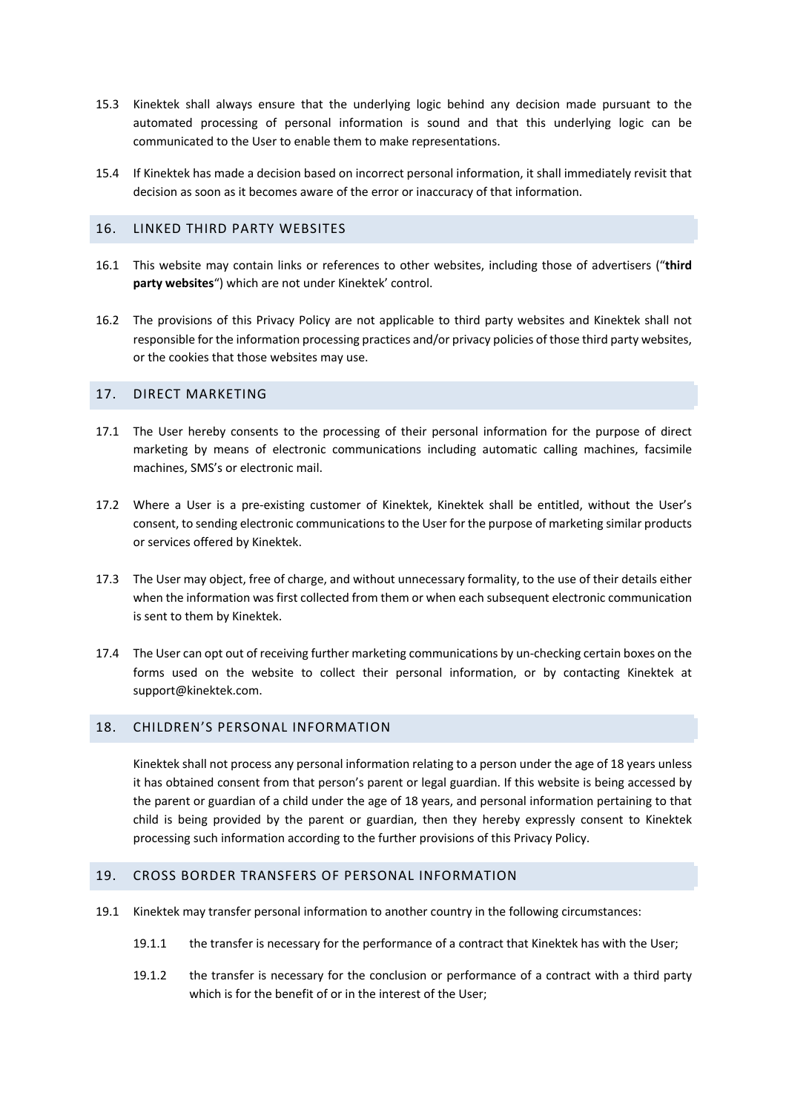- 15.3 Kinektek shall always ensure that the underlying logic behind any decision made pursuant to the automated processing of personal information is sound and that this underlying logic can be communicated to the User to enable them to make representations.
- 15.4 If Kinektek has made a decision based on incorrect personal information, it shall immediately revisit that decision as soon as it becomes aware of the error or inaccuracy of that information.

## 16. LINKED THIRD PARTY WEBSITES

- 16.1 This website may contain links or references to other websites, including those of advertisers ("**third party websites**") which are not under Kinektek' control.
- 16.2 The provisions of this Privacy Policy are not applicable to third party websites and Kinektek shall not responsible for the information processing practices and/or privacy policies of those third party websites, or the cookies that those websites may use.

#### 17. DIRECT MARKETING

- 17.1 The User hereby consents to the processing of their personal information for the purpose of direct marketing by means of electronic communications including automatic calling machines, facsimile machines, SMS's or electronic mail.
- 17.2 Where a User is a pre-existing customer of Kinektek, Kinektek shall be entitled, without the User's consent, to sending electronic communications to the User for the purpose of marketing similar products or services offered by Kinektek.
- 17.3 The User may object, free of charge, and without unnecessary formality, to the use of their details either when the information was first collected from them or when each subsequent electronic communication is sent to them by Kinektek.
- 17.4 The User can opt out of receiving further marketing communications by un-checking certain boxes on the forms used on the website to collect their personal information, or by contacting Kinektek at support@kinektek.com.

#### 18. CHILDREN'S PERSONAL INFORMATION

Kinektek shall not process any personal information relating to a person under the age of 18 years unless it has obtained consent from that person's parent or legal guardian. If this website is being accessed by the parent or guardian of a child under the age of 18 years, and personal information pertaining to that child is being provided by the parent or guardian, then they hereby expressly consent to Kinektek processing such information according to the further provisions of this Privacy Policy.

#### 19. CROSS BORDER TRANSFERS OF PERSONAL INFORMATION

- 19.1 Kinektek may transfer personal information to another country in the following circumstances:
	- 19.1.1 the transfer is necessary for the performance of a contract that Kinektek has with the User;
	- 19.1.2 the transfer is necessary for the conclusion or performance of a contract with a third party which is for the benefit of or in the interest of the User;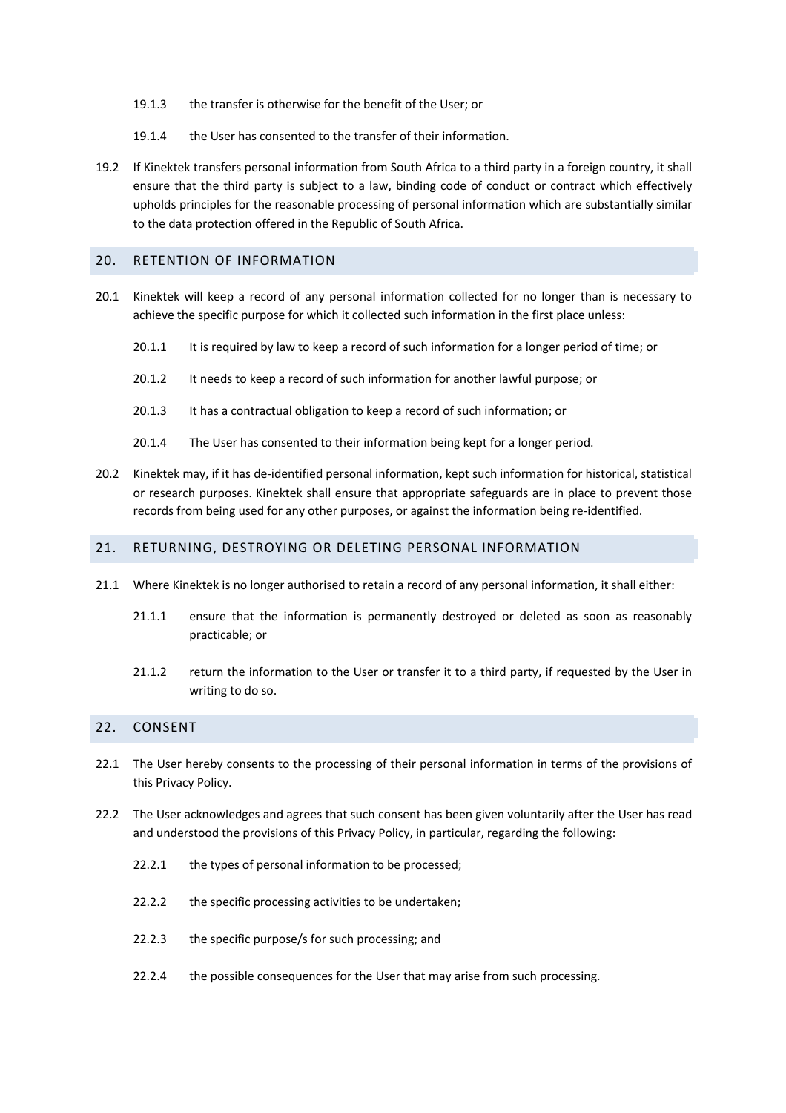- 19.1.3 the transfer is otherwise for the benefit of the User; or
- 19.1.4 the User has consented to the transfer of their information.
- 19.2 If Kinektek transfers personal information from South Africa to a third party in a foreign country, it shall ensure that the third party is subject to a law, binding code of conduct or contract which effectively upholds principles for the reasonable processing of personal information which are substantially similar to the data protection offered in the Republic of South Africa.

#### 20. RETENTION OF INFORMATION

- 20.1 Kinektek will keep a record of any personal information collected for no longer than is necessary to achieve the specific purpose for which it collected such information in the first place unless:
	- 20.1.1 It is required by law to keep a record of such information for a longer period of time; or
	- 20.1.2 It needs to keep a record of such information for another lawful purpose; or
	- 20.1.3 It has a contractual obligation to keep a record of such information; or
	- 20.1.4 The User has consented to their information being kept for a longer period.
- 20.2 Kinektek may, if it has de-identified personal information, kept such information for historical, statistical or research purposes. Kinektek shall ensure that appropriate safeguards are in place to prevent those records from being used for any other purposes, or against the information being re-identified.

#### 21. RETURNING, DESTROYING OR DELETING PERSONAL INFORMATION

- 21.1 Where Kinektek is no longer authorised to retain a record of any personal information, it shall either:
	- 21.1.1 ensure that the information is permanently destroyed or deleted as soon as reasonably practicable; or
	- 21.1.2 return the information to the User or transfer it to a third party, if requested by the User in writing to do so.

## 22. CONSENT

- 22.1 The User hereby consents to the processing of their personal information in terms of the provisions of this Privacy Policy.
- 22.2 The User acknowledges and agrees that such consent has been given voluntarily after the User has read and understood the provisions of this Privacy Policy, in particular, regarding the following:
	- 22.2.1 the types of personal information to be processed;
	- 22.2.2 the specific processing activities to be undertaken;
	- 22.2.3 the specific purpose/s for such processing; and
	- 22.2.4 the possible consequences for the User that may arise from such processing.